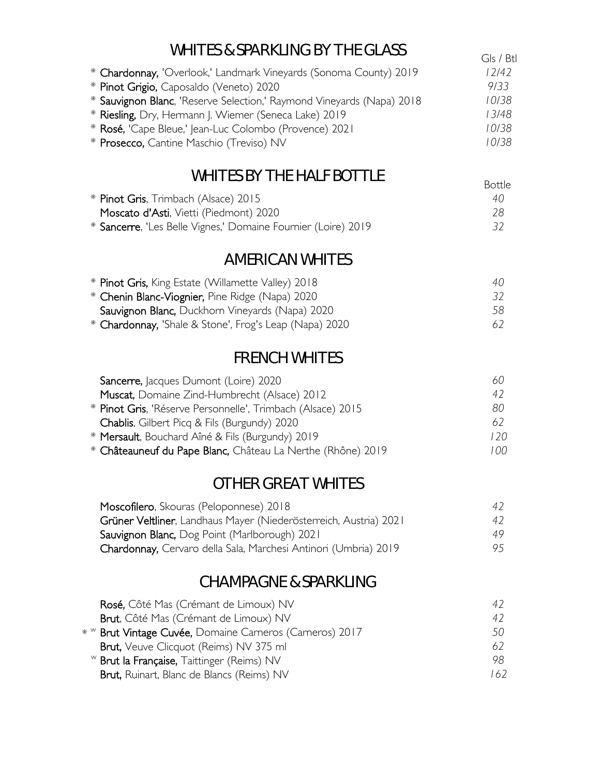| WHITES & SPARKLING BY THE GLASS                                       | Gls / Btl |
|-----------------------------------------------------------------------|-----------|
| * Chardonnay, 'Overlook,' Landmark Vineyards (Sonoma County) 2019     | 12/42     |
| * Pinot Grigio, Caposaldo (Veneto) 2020                               | 9/33      |
| * Sauvignon Blanc, 'Reserve Selection,' Raymond Vineyards (Napa) 2018 | 10/38     |
| * Riesling, Dry, Hermann J. Wiemer (Seneca Lake) 2019                 | 13/48     |
| * Rosé, 'Cape Bleue,' Jean-Luc Colombo (Provence) 2021                | 10/38     |
| * Prosecco, Cantine Maschio (Treviso) NV                              | 10/38     |

## WHITES BY THE HALF BOTTLE

Bottle

| DULLIC |
|--------|
| 40     |
| 28     |
|        |
|        |

#### AMERICAN WHITES

| * Pinot Gris, King Estate (Willamette Valley) 2018     | 40  |
|--------------------------------------------------------|-----|
| * Chenin Blanc-Viognier, Pine Ridge (Napa) 2020        | 32  |
| Sauvignon Blanc, Duckhorn Vineyards (Napa) 2020        | 58. |
| * Chardonnay, 'Shale & Stone', Frog's Leap (Napa) 2020 | 62. |

## FRENCH WHITES

| Sancerre, Jacques Dumont (Loire) 2020                       | 60  |
|-------------------------------------------------------------|-----|
| Muscat, Domaine Zind-Humbrecht (Alsace) 2012                | 42  |
| * Pinot Gris, 'Réserve Personnelle', Trimbach (Alsace) 2015 | 80. |
| Chablis, Gilbert Picq & Fils (Burgundy) 2020                | 62. |
| * Mersault, Bouchard Aîné & Fils (Burgundy) 2019            | 120 |
| * Châteauneuf du Pape Blanc, Château La Nerthe (Rhône) 2019 | 100 |
|                                                             |     |

# OTHER GREAT WHITES

| Moscofilero, Skouras (Peloponnese) 2018                           | 42 |
|-------------------------------------------------------------------|----|
| Grüner Veltliner, Landhaus Mayer (Niederösterreich, Austria) 2021 | 42 |
| Sauvignon Blanc, Dog Point (Marlborough) 2021                     | 49 |
| Chardonnay, Cervaro della Sala, Marchesi Antinori (Umbria) 2019   | 95 |

## CHAMPAGNE & SPARKLING

| Rosé, Côté Mas (Crémant de Limoux) NV                    | 47  |
|----------------------------------------------------------|-----|
| Brut, Côté Mas (Crémant de Limoux) NV                    | 42  |
| * W Brut Vintage Cuvée, Domaine Carneros (Carneros) 2017 | 50. |
| <b>Brut,</b> Veuve Clicquot (Reims) NV 375 ml            | 62  |
| <sup>w</sup> Brut la Française, Taittinger (Reims) NV    | 98  |
| Brut, Ruinart, Blanc de Blancs (Reims) NV                | 162 |